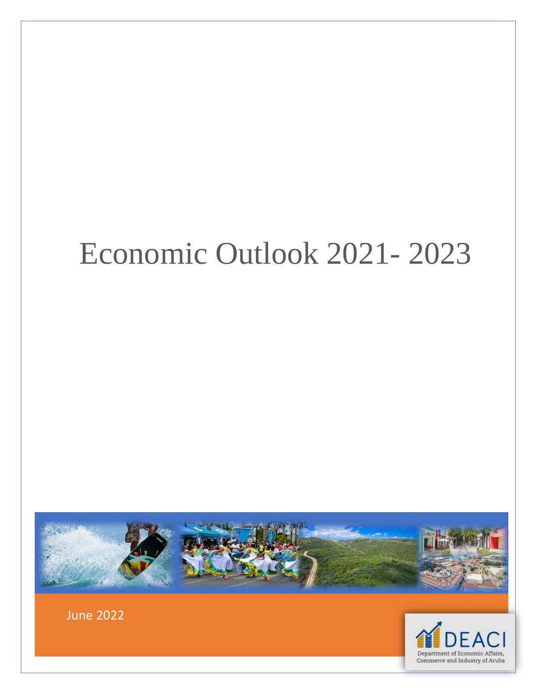# Economic Outlook 2021- 2023





June 2022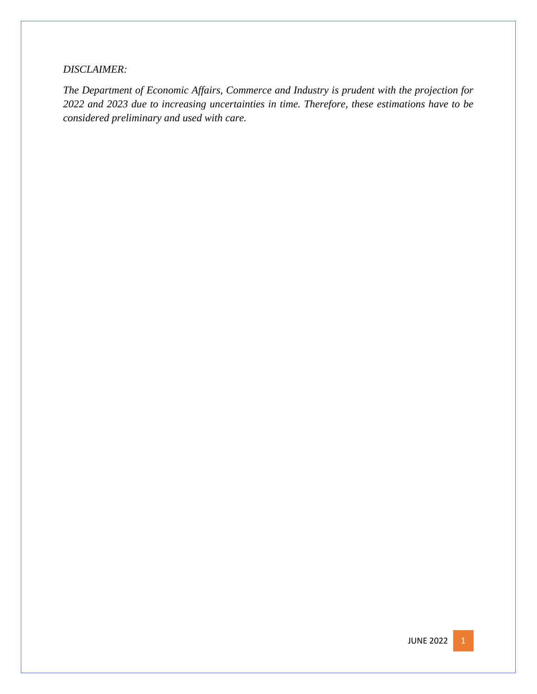#### *DISCLAIMER:*

*The Department of Economic Affairs, Commerce and Industry is prudent with the projection for 2022 and 2023 due to increasing uncertainties in time. Therefore, these estimations have to be considered preliminary and used with care.*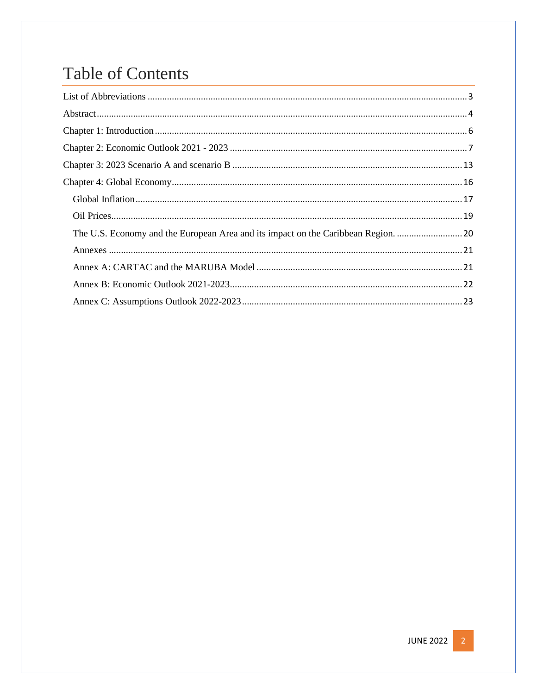# **Table of Contents**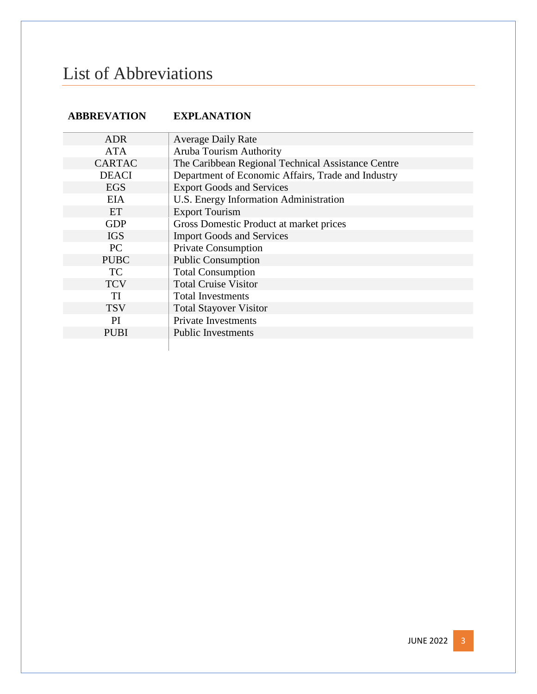# <span id="page-3-0"></span>List of Abbreviations

#### **ABBREVATION EXPLANATION**

| <b>ADR</b>    | <b>Average Daily Rate</b>                          |
|---------------|----------------------------------------------------|
| <b>ATA</b>    | Aruba Tourism Authority                            |
| <b>CARTAC</b> | The Caribbean Regional Technical Assistance Centre |
| <b>DEACI</b>  | Department of Economic Affairs, Trade and Industry |
| <b>EGS</b>    | <b>Export Goods and Services</b>                   |
| <b>EIA</b>    | U.S. Energy Information Administration             |
| ET            | <b>Export Tourism</b>                              |
| <b>GDP</b>    | Gross Domestic Product at market prices            |
| <b>IGS</b>    | <b>Import Goods and Services</b>                   |
| PC            | <b>Private Consumption</b>                         |
| <b>PUBC</b>   | <b>Public Consumption</b>                          |
| TC            | <b>Total Consumption</b>                           |
| <b>TCV</b>    | <b>Total Cruise Visitor</b>                        |
| TI            | <b>Total Investments</b>                           |
| <b>TSV</b>    | <b>Total Stayover Visitor</b>                      |
| <sub>PI</sub> | <b>Private Investments</b>                         |
| <b>PUBI</b>   | <b>Public Investments</b>                          |
|               |                                                    |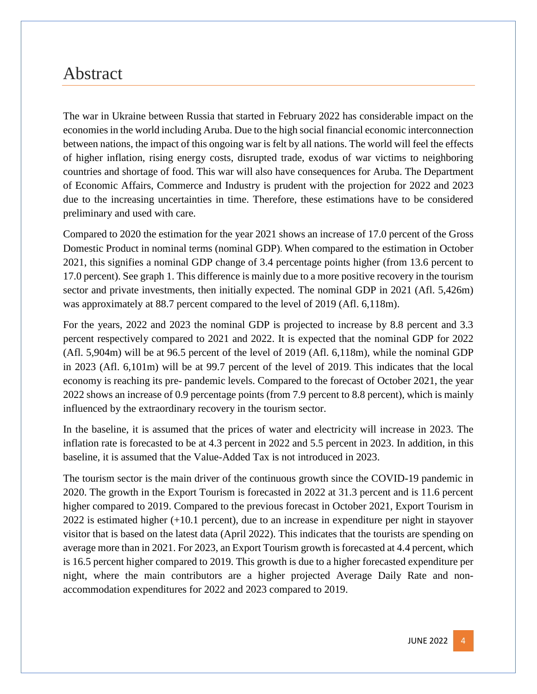### <span id="page-4-0"></span>Abstract

The war in Ukraine between Russia that started in February 2022 has considerable impact on the economies in the world including Aruba. Due to the high social financial economic interconnection between nations, the impact of this ongoing war is felt by all nations. The world will feel the effects of higher inflation, rising energy costs, disrupted trade, exodus of war victims to neighboring countries and shortage of food. This war will also have consequences for Aruba. The Department of Economic Affairs, Commerce and Industry is prudent with the projection for 2022 and 2023 due to the increasing uncertainties in time. Therefore, these estimations have to be considered preliminary and used with care.

Compared to 2020 the estimation for the year 2021 shows an increase of 17.0 percent of the Gross Domestic Product in nominal terms (nominal GDP). When compared to the estimation in October 2021, this signifies a nominal GDP change of 3.4 percentage points higher (from 13.6 percent to 17.0 percent). See graph 1. This difference is mainly due to a more positive recovery in the tourism sector and private investments, then initially expected. The nominal GDP in 2021 (Afl. 5,426m) was approximately at 88.7 percent compared to the level of 2019 (Afl. 6,118m).

For the years, 2022 and 2023 the nominal GDP is projected to increase by 8.8 percent and 3.3 percent respectively compared to 2021 and 2022. It is expected that the nominal GDP for 2022 (Afl. 5,904m) will be at 96.5 percent of the level of 2019 (Afl. 6,118m), while the nominal GDP in 2023 (Afl. 6,101m) will be at 99.7 percent of the level of 2019. This indicates that the local economy is reaching its pre- pandemic levels. Compared to the forecast of October 2021, the year 2022 shows an increase of 0.9 percentage points (from 7.9 percent to 8.8 percent), which is mainly influenced by the extraordinary recovery in the tourism sector.

In the baseline, it is assumed that the prices of water and electricity will increase in 2023. The inflation rate is forecasted to be at 4.3 percent in 2022 and 5.5 percent in 2023. In addition, in this baseline, it is assumed that the Value-Added Tax is not introduced in 2023.

The tourism sector is the main driver of the continuous growth since the COVID-19 pandemic in 2020. The growth in the Export Tourism is forecasted in 2022 at 31.3 percent and is 11.6 percent higher compared to 2019. Compared to the previous forecast in October 2021, Export Tourism in 2022 is estimated higher (+10.1 percent), due to an increase in expenditure per night in stayover visitor that is based on the latest data (April 2022). This indicates that the tourists are spending on average more than in 2021. For 2023, an Export Tourism growth is forecasted at 4.4 percent, which is 16.5 percent higher compared to 2019. This growth is due to a higher forecasted expenditure per night, where the main contributors are a higher projected Average Daily Rate and nonaccommodation expenditures for 2022 and 2023 compared to 2019.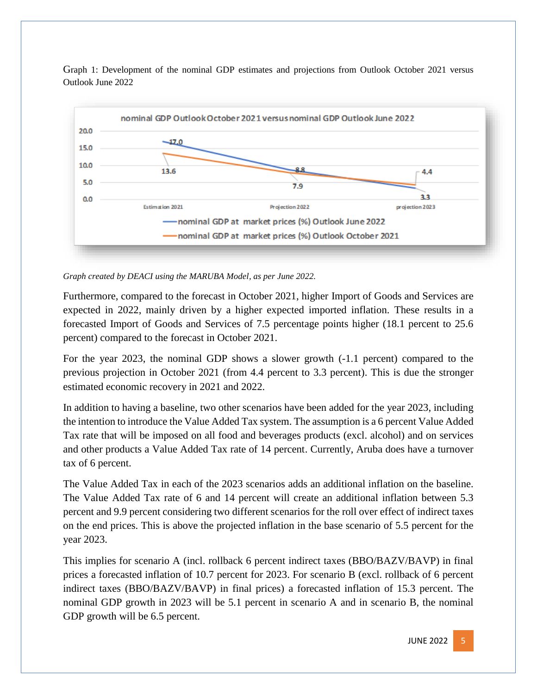



*Graph created by DEACI using the MARUBA Model, as per June 2022.*

Furthermore, compared to the forecast in October 2021, higher Import of Goods and Services are expected in 2022, mainly driven by a higher expected imported inflation. These results in a forecasted Import of Goods and Services of 7.5 percentage points higher (18.1 percent to 25.6 percent) compared to the forecast in October 2021.

For the year 2023, the nominal GDP shows a slower growth (-1.1 percent) compared to the previous projection in October 2021 (from 4.4 percent to 3.3 percent). This is due the stronger estimated economic recovery in 2021 and 2022.

In addition to having a baseline, two other scenarios have been added for the year 2023, including the intention to introduce the Value Added Tax system. The assumption is a 6 percent Value Added Tax rate that will be imposed on all food and beverages products (excl. alcohol) and on services and other products a Value Added Tax rate of 14 percent. Currently, Aruba does have a turnover tax of 6 percent.

The Value Added Tax in each of the 2023 scenarios adds an additional inflation on the baseline. The Value Added Tax rate of 6 and 14 percent will create an additional inflation between 5.3 percent and 9.9 percent considering two different scenarios for the roll over effect of indirect taxes on the end prices. This is above the projected inflation in the base scenario of 5.5 percent for the year 2023.

This implies for scenario A (incl. rollback 6 percent indirect taxes (BBO/BAZV/BAVP) in final prices a forecasted inflation of 10.7 percent for 2023. For scenario B (excl. rollback of 6 percent indirect taxes (BBO/BAZV/BAVP) in final prices) a forecasted inflation of 15.3 percent. The nominal GDP growth in 2023 will be 5.1 percent in scenario A and in scenario B, the nominal GDP growth will be 6.5 percent.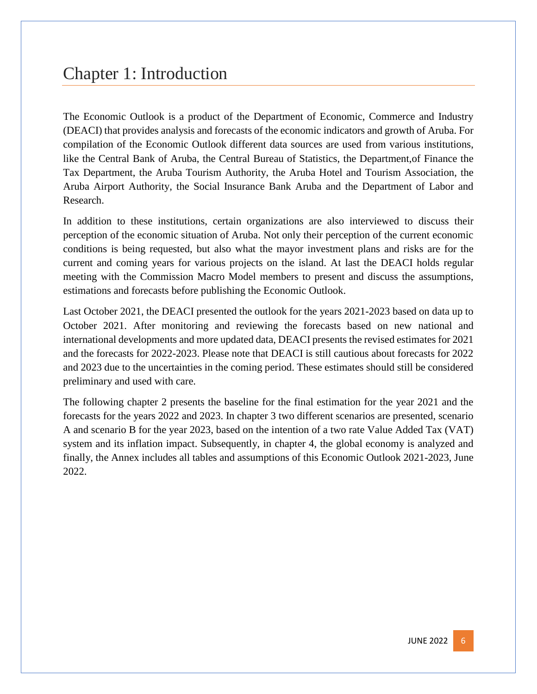# <span id="page-6-0"></span>Chapter 1: Introduction

The Economic Outlook is a product of the Department of Economic, Commerce and Industry (DEACI) that provides analysis and forecasts of the economic indicators and growth of Aruba. For compilation of the Economic Outlook different data sources are used from various institutions, like the Central Bank of Aruba, the Central Bureau of Statistics, the Department,of Finance the Tax Department, the Aruba Tourism Authority, the Aruba Hotel and Tourism Association, the Aruba Airport Authority, the Social Insurance Bank Aruba and the Department of Labor and Research.

In addition to these institutions, certain organizations are also interviewed to discuss their perception of the economic situation of Aruba. Not only their perception of the current economic conditions is being requested, but also what the mayor investment plans and risks are for the current and coming years for various projects on the island. At last the DEACI holds regular meeting with the Commission Macro Model members to present and discuss the assumptions, estimations and forecasts before publishing the Economic Outlook.

Last October 2021, the DEACI presented the outlook for the years 2021-2023 based on data up to October 2021. After monitoring and reviewing the forecasts based on new national and international developments and more updated data, DEACI presents the revised estimates for 2021 and the forecasts for 2022-2023. Please note that DEACI is still cautious about forecasts for 2022 and 2023 due to the uncertainties in the coming period. These estimates should still be considered preliminary and used with care.

The following chapter 2 presents the baseline for the final estimation for the year 2021 and the forecasts for the years 2022 and 2023. In chapter 3 two different scenarios are presented, scenario A and scenario B for the year 2023, based on the intention of a two rate Value Added Tax (VAT) system and its inflation impact. Subsequently, in chapter 4, the global economy is analyzed and finally, the Annex includes all tables and assumptions of this Economic Outlook 2021-2023, June 2022.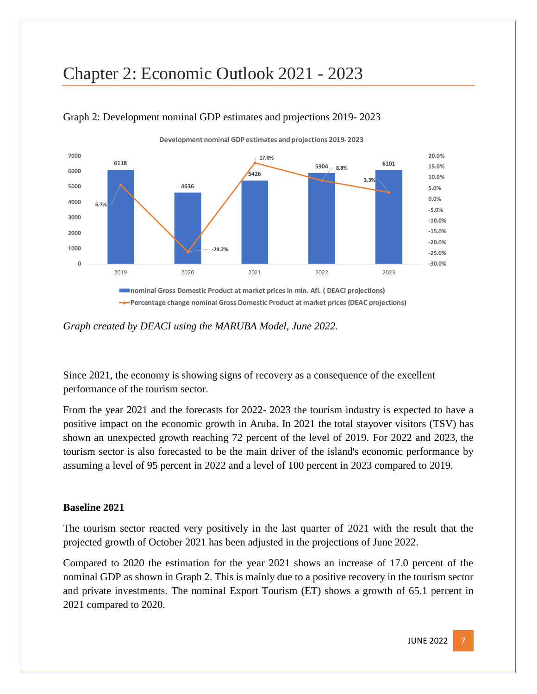# <span id="page-7-0"></span>Chapter 2: Economic Outlook 2021 - 2023



#### Graph 2: Development nominal GDP estimates and projections 2019- 2023

*Graph created by DEACI using the MARUBA Model, June 2022.*

Since 2021, the economy is showing signs of recovery as a consequence of the excellent performance of the tourism sector.

From the year 2021 and the forecasts for 2022- 2023 the tourism industry is expected to have a positive impact on the economic growth in Aruba. In 2021 the total stayover visitors (TSV) has shown an unexpected growth reaching 72 percent of the level of 2019. For 2022 and 2023, the tourism sector is also forecasted to be the main driver of the island's economic performance by assuming a level of 95 percent in 2022 and a level of 100 percent in 2023 compared to 2019.

#### **Baseline 2021**

The tourism sector reacted very positively in the last quarter of 2021 with the result that the projected growth of October 2021 has been adjusted in the projections of June 2022.

Compared to 2020 the estimation for the year 2021 shows an increase of 17.0 percent of the nominal GDP as shown in Graph 2. This is mainly due to a positive recovery in the tourism sector and private investments. The nominal Export Tourism (ET) shows a growth of 65.1 percent in 2021 compared to 2020.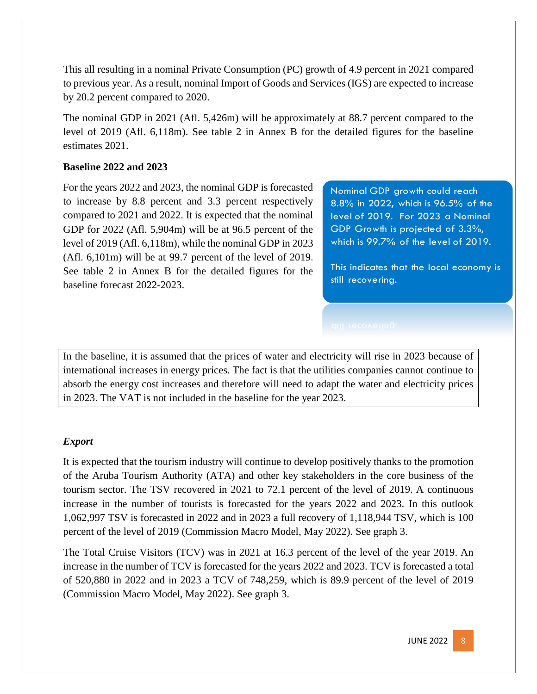This all resulting in a nominal Private Consumption (PC) growth of 4.9 percent in 2021 compared to previous year. As a result, nominal Import of Goods and Services (IGS) are expected to increase by 20.2 percent compared to 2020.

The nominal GDP in 2021 (Afl. 5,426m) will be approximately at 88.7 percent compared to the level of 2019 (Afl. 6,118m). See table 2 in Annex B for the detailed figures for the baseline estimates 2021.

#### **Baseline 2022 and 2023**

For the years 2022 and 2023, the nominal GDP is forecasted to increase by 8.8 percent and 3.3 percent respectively compared to 2021 and 2022. It is expected that the nominal GDP for 2022 (Afl. 5,904m) will be at 96.5 percent of the level of 2019 (Afl. 6,118m), while the nominal GDP in 2023 (Afl. 6,101m) will be at 99.7 percent of the level of 2019. See table 2 in Annex B for the detailed figures for the baseline forecast 2022-2023.

Nominal GDP growth could reach 8.8% in 2022, which is 96.5% of the level of 2019. For 2023 a Nominal GDP Growth is projected of 3.3%, which is 99.7% of the level of 2019.

This indicates that the local economy is still recovering.

In the baseline, it is assumed that the prices of water and electricity will rise in 2023 because of international increases in energy prices. The fact is that the utilities companies cannot continue to absorb the energy cost increases and therefore will need to adapt the water and electricity prices in 2023. The VAT is not included in the baseline for the year 2023.

#### *Export*

It is expected that the tourism industry will continue to develop positively thanks to the promotion of the Aruba Tourism Authority (ATA) and other key stakeholders in the core business of the tourism sector. The TSV recovered in 2021 to 72.1 percent of the level of 2019. A continuous increase in the number of tourists is forecasted for the years 2022 and 2023. In this outlook 1,062,997 TSV is forecasted in 2022 and in 2023 a full recovery of 1,118,944 TSV, which is 100 percent of the level of 2019 (Commission Macro Model, May 2022). See graph 3.

The Total Cruise Visitors (TCV) was in 2021 at 16.3 percent of the level of the year 2019. An increase in the number of TCV is forecasted for the years 2022 and 2023. TCV is forecasted a total of 520,880 in 2022 and in 2023 a TCV of 748,259, which is 89.9 percent of the level of 2019 (Commission Macro Model, May 2022). See graph 3.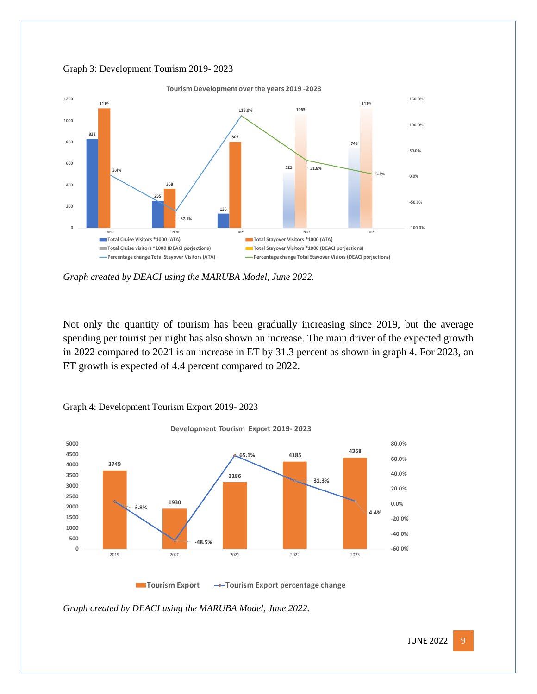

#### Graph 3: Development Tourism 2019- 2023

*Graph created by DEACI using the MARUBA Model, June 2022.*

Not only the quantity of tourism has been gradually increasing since 2019, but the average spending per tourist per night has also shown an increase. The main driver of the expected growth in 2022 compared to 2021 is an increase in ET by 31.3 percent as shown in graph 4. For 2023, an ET growth is expected of 4.4 percent compared to 2022.



Graph 4: Development Tourism Export 2019- 2023

*Graph created by DEACI using the MARUBA Model, June 2022.*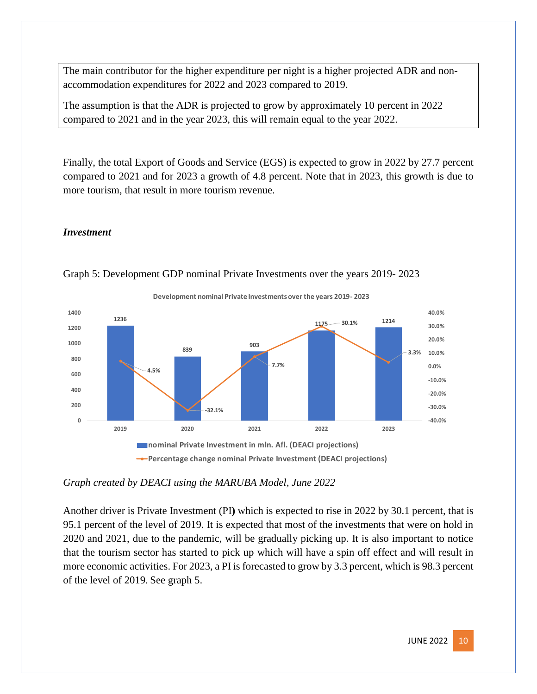The main contributor for the higher expenditure per night is a higher projected ADR and nonaccommodation expenditures for 2022 and 2023 compared to 2019.

The assumption is that the ADR is projected to grow by approximately 10 percent in 2022 compared to 2021 and in the year 2023, this will remain equal to the year 2022.

Finally, the total Export of Goods and Service (EGS) is expected to grow in 2022 by 27.7 percent compared to 2021 and for 2023 a growth of 4.8 percent. Note that in 2023, this growth is due to more tourism, that result in more tourism revenue.

#### *Investment*



#### Graph 5: Development GDP nominal Private Investments over the years 2019- 2023

*Graph created by DEACI using the MARUBA Model, June 2022*

Another driver is Private Investment (PI**)** which is expected to rise in 2022 by 30.1 percent, that is 95.1 percent of the level of 2019. It is expected that most of the investments that were on hold in 2020 and 2021, due to the pandemic, will be gradually picking up. It is also important to notice that the tourism sector has started to pick up which will have a spin off effect and will result in more economic activities. For 2023, a PI is forecasted to grow by 3.3 percent, which is 98.3 percent of the level of 2019. See graph 5.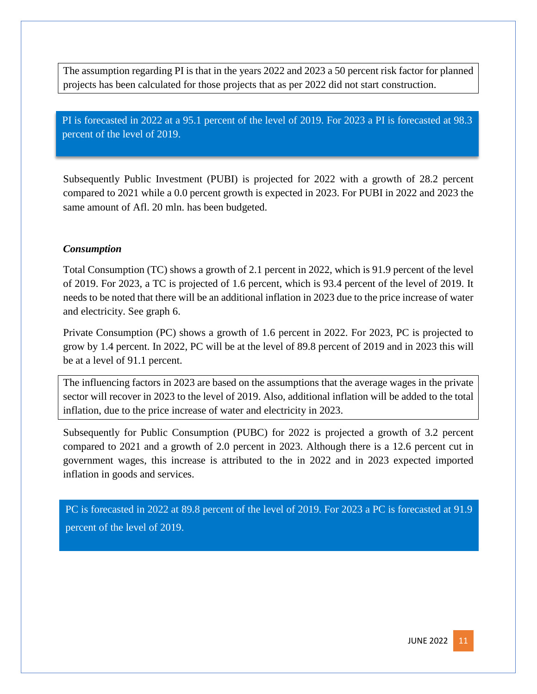The assumption regarding PI is that in the years 2022 and 2023 a 50 percent risk factor for planned projects has been calculated for those projects that as per 2022 did not start construction.

PI is forecasted in 2022 at a 95.1 percent of the level of 2019. For 2023 a PI is forecasted at 98.3 percent of the level of 2019.

Subsequently Public Investment (PUBI) is projected for 2022 with a growth of 28.2 percent compared to 2021 while a 0.0 percent growth is expected in 2023. For PUBI in 2022 and 2023 the same amount of Afl. 20 mln. has been budgeted.

#### *Consumption*

Total Consumption (TC) shows a growth of 2.1 percent in 2022, which is 91.9 percent of the level of 2019. For 2023, a TC is projected of 1.6 percent, which is 93.4 percent of the level of 2019. It needs to be noted that there will be an additional inflation in 2023 due to the price increase of water and electricity. See graph 6.

Private Consumption (PC) shows a growth of 1.6 percent in 2022. For 2023, PC is projected to grow by 1.4 percent. In 2022, PC will be at the level of 89.8 percent of 2019 and in 2023 this will be at a level of 91.1 percent.

The influencing factors in 2023 are based on the assumptions that the average wages in the private sector will recover in 2023 to the level of 2019. Also, additional inflation will be added to the total inflation, due to the price increase of water and electricity in 2023.

Subsequently for Public Consumption (PUBC) for 2022 is projected a growth of 3.2 percent compared to 2021 and a growth of 2.0 percent in 2023. Although there is a 12.6 percent cut in government wages, this increase is attributed to the in 2022 and in 2023 expected imported inflation in goods and services.

PC is forecasted in 2022 at 89.8 percent of the level of 2019. For 2023 a PC is forecasted at 91.9 percent of the level of 2019.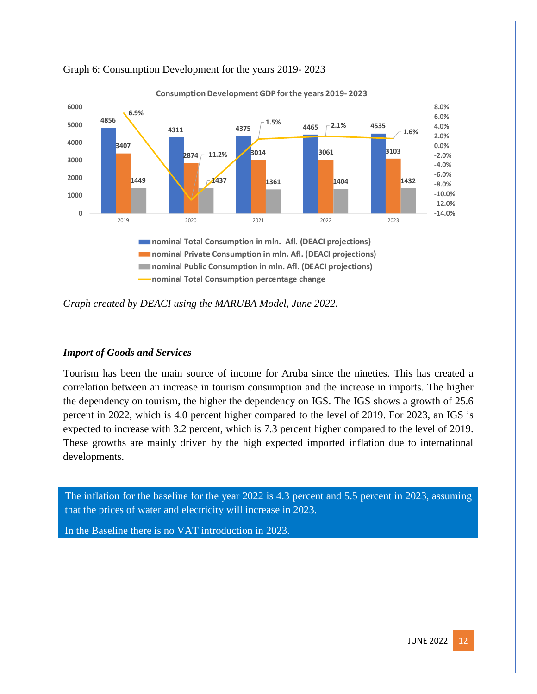



*Graph created by DEACI using the MARUBA Model, June 2022.*

#### *Import of Goods and Services*

Tourism has been the main source of income for Aruba since the nineties. This has created a correlation between an increase in tourism consumption and the increase in imports. The higher the dependency on tourism, the higher the dependency on IGS. The IGS shows a growth of 25.6 percent in 2022, which is 4.0 percent higher compared to the level of 2019. For 2023, an IGS is expected to increase with 3.2 percent, which is 7.3 percent higher compared to the level of 2019. These growths are mainly driven by the high expected imported inflation due to international developments.

The inflation for the baseline for the year 2022 is 4.3 percent and 5.5 percent in 2023, assuming that the prices of water and electricity will increase in 2023.

In the Baseline there is no VAT introduction in 2023.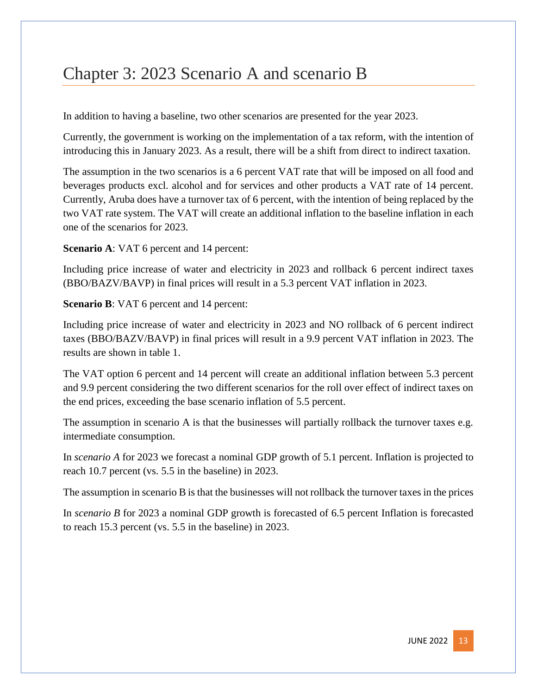# <span id="page-13-0"></span>Chapter 3: 2023 Scenario A and scenario B

In addition to having a baseline, two other scenarios are presented for the year 2023.

Currently, the government is working on the implementation of a tax reform, with the intention of introducing this in January 2023. As a result, there will be a shift from direct to indirect taxation.

The assumption in the two scenarios is a 6 percent VAT rate that will be imposed on all food and beverages products excl. alcohol and for services and other products a VAT rate of 14 percent. Currently, Aruba does have a turnover tax of 6 percent, with the intention of being replaced by the two VAT rate system. The VAT will create an additional inflation to the baseline inflation in each one of the scenarios for 2023.

**Scenario A: VAT 6 percent and 14 percent:** 

Including price increase of water and electricity in 2023 and rollback 6 percent indirect taxes (BBO/BAZV/BAVP) in final prices will result in a 5.3 percent VAT inflation in 2023.

**Scenario B**: VAT 6 percent and 14 percent:

Including price increase of water and electricity in 2023 and NO rollback of 6 percent indirect taxes (BBO/BAZV/BAVP) in final prices will result in a 9.9 percent VAT inflation in 2023. The results are shown in table 1.

The VAT option 6 percent and 14 percent will create an additional inflation between 5.3 percent and 9.9 percent considering the two different scenarios for the roll over effect of indirect taxes on the end prices, exceeding the base scenario inflation of 5.5 percent.

The assumption in scenario A is that the businesses will partially rollback the turnover taxes e.g. intermediate consumption.

In *scenario A* for 2023 we forecast a nominal GDP growth of 5.1 percent. Inflation is projected to reach 10.7 percent (vs. 5.5 in the baseline) in 2023.

The assumption in scenario B is that the businesses will not rollback the turnover taxes in the prices

In *scenario B* for 2023 a nominal GDP growth is forecasted of 6.5 percent Inflation is forecasted to reach 15.3 percent (vs. 5.5 in the baseline) in 2023.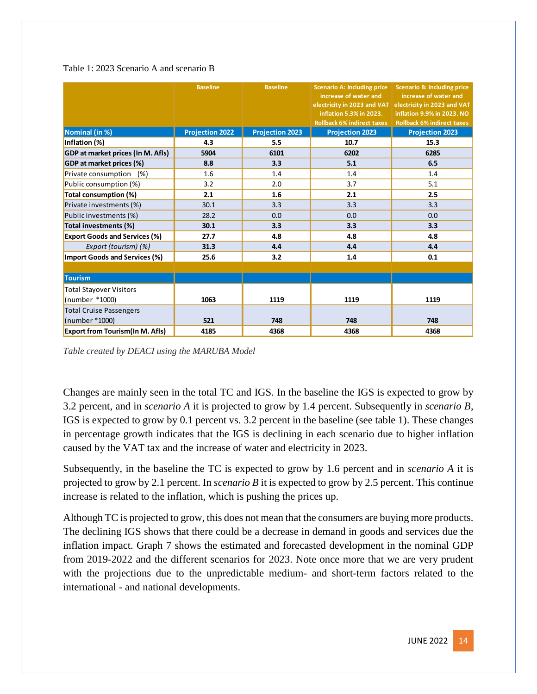#### Table 1: 2023 Scenario A and scenario B

|                                        | <b>Baseline</b>        | <b>Baseline</b>        | <b>Scenario A: Including price</b><br>increase of water and | <b>Scenario B: Including price</b><br>increase of water and |  |
|----------------------------------------|------------------------|------------------------|-------------------------------------------------------------|-------------------------------------------------------------|--|
|                                        |                        |                        | electricity in 2023 and VAT                                 | electricity in 2023 and VAT                                 |  |
|                                        |                        |                        | inflation 5.3% in 2023.                                     | inflation 9.9% in 2023. NO                                  |  |
|                                        |                        |                        | <b>Rollback 6% indirect taxes</b>                           | <b>Rollback 6% indirect taxes</b>                           |  |
| Nominal (in %)                         | <b>Projection 2022</b> | <b>Projection 2023</b> | <b>Projection 2023</b>                                      | <b>Projection 2023</b>                                      |  |
| Inflation (%)                          | 4.3                    | 5.5                    | 10.7                                                        | 15.3                                                        |  |
| GDP at market prices (In M. Afls)      | 5904                   | 6101                   | 6202                                                        | 6285                                                        |  |
| GDP at market prices (%)               | 8.8                    | 3.3                    | 5.1                                                         | 6.5                                                         |  |
| Private consumption (%)                | 1.6                    | 1.4                    | 1.4                                                         | 1.4                                                         |  |
| Public consumption (%)                 | 3.2                    | 2.0                    | 3.7                                                         | 5.1                                                         |  |
| Total consumption (%)                  | 2.1                    | 1.6                    | 2.1                                                         | 2.5                                                         |  |
| Private investments (%)                | 30.1                   | 3.3                    | 3.3                                                         | 3.3                                                         |  |
| Public investments (%)                 | 28.2                   | 0.0                    | 0.0                                                         | 0.0                                                         |  |
| Total investments (%)                  | 30.1                   | 3.3                    | 3.3                                                         | 3.3                                                         |  |
| <b>Export Goods and Services (%)</b>   | 27.7                   | 4.8                    | 4.8                                                         | 4.8                                                         |  |
| Export (tourism) (%)                   | 31.3                   | 4.4                    | 4.4                                                         | 4.4                                                         |  |
| Import Goods and Services (%)          | 25.6                   | 3.2                    | 1.4                                                         | 0.1                                                         |  |
|                                        |                        |                        |                                                             |                                                             |  |
| <b>Tourism</b>                         |                        |                        |                                                             |                                                             |  |
| <b>Total Stayover Visitors</b>         |                        |                        |                                                             |                                                             |  |
| (number *1000)                         | 1063                   | 1119                   | 1119                                                        | 1119                                                        |  |
| <b>Total Cruise Passengers</b>         |                        |                        |                                                             |                                                             |  |
| (number *1000)                         | 521                    | 748                    | 748                                                         | 748                                                         |  |
| <b>Export from Tourism(In M. Afls)</b> | 4185                   | 4368                   | 4368                                                        | 4368                                                        |  |

*Table created by DEACI using the MARUBA Model*

Changes are mainly seen in the total TC and IGS. In the baseline the IGS is expected to grow by 3.2 percent, and in *scenario A* it is projected to grow by 1.4 percent. Subsequently in *scenario B*, IGS is expected to grow by 0.1 percent vs. 3.2 percent in the baseline (see table 1). These changes in percentage growth indicates that the IGS is declining in each scenario due to higher inflation caused by the VAT tax and the increase of water and electricity in 2023.

Subsequently, in the baseline the TC is expected to grow by 1.6 percent and in *scenario A* it is projected to grow by 2.1 percent. In *scenario B* it is expected to grow by 2.5 percent. This continue increase is related to the inflation, which is pushing the prices up.

Although TC is projected to grow, this does not mean that the consumers are buying more products. The declining IGS shows that there could be a decrease in demand in goods and services due the inflation impact. Graph 7 shows the estimated and forecasted development in the nominal GDP from 2019-2022 and the different scenarios for 2023. Note once more that we are very prudent with the projections due to the unpredictable medium- and short-term factors related to the international - and national developments.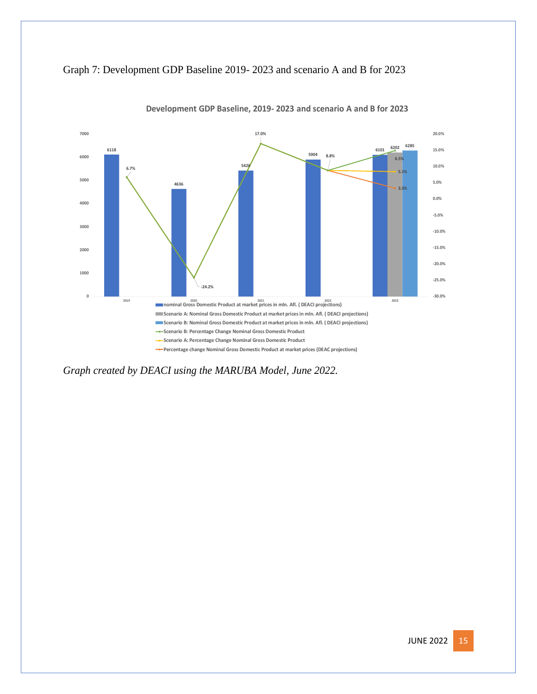



**Development GDP Baseline, 2019- 2023 and scenario A and B for 2023**

*Graph created by DEACI using the MARUBA Model, June 2022.*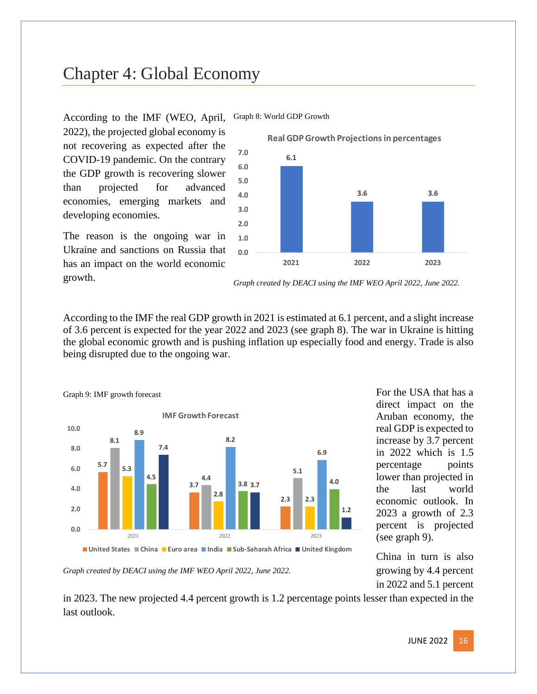# <span id="page-16-0"></span>Chapter 4: Global Economy



According to the IMF (WEO, April, Graph 8: World GDP Growth

2022), the projected global economy is not recovering as expected after the COVID-19 pandemic. On the contrary the GDP growth is recovering slower than projected for advanced economies, emerging markets and developing economies.

The reason is the ongoing war in Ukraine and sanctions on Russia that has an impact on the world economic growth.



According to the IMF the real GDP growth in 2021 is estimated at 6.1 percent, and a slight increase of 3.6 percent is expected for the year 2022 and 2023 (see graph 8). The war in Ukraine is hitting the global economic growth and is pushing inflation up especially food and energy. Trade is also being disrupted due to the ongoing war.



For the USA that has a direct impact on the Aruban economy, the real GDP is expected to increase by 3.7 percent in 2022 which is 1.5 percentage points lower than projected in the last world economic outlook. In 2023 a growth of 2.3 percent is projected (see graph 9).

China in turn is also growing by 4.4 percent in 2022 and 5.1 percent

*Graph created by DEACI using the IMF WEO April 2022, June 2022.*

in 2023. The new projected 4.4 percent growth is 1.2 percentage points lesser than expected in the last outlook.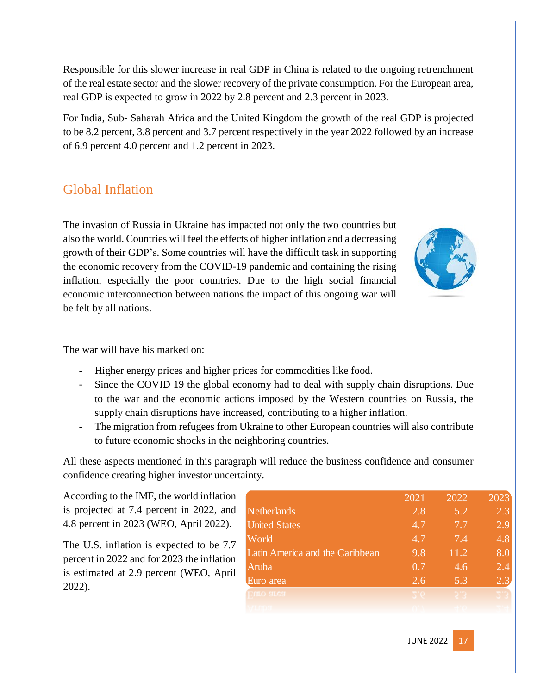Responsible for this slower increase in real GDP in China is related to the ongoing retrenchment of the real estate sector and the slower recovery of the private consumption. For the European area, real GDP is expected to grow in 2022 by 2.8 percent and 2.3 percent in 2023.

For India, Sub- Saharah Africa and the United Kingdom the growth of the real GDP is projected to be 8.2 percent, 3.8 percent and 3.7 percent respectively in the year 2022 followed by an increase of 6.9 percent 4.0 percent and 1.2 percent in 2023.

### <span id="page-17-0"></span>Global Inflation

The invasion of Russia in Ukraine has impacted not only the two countries but also the world. Countries will feel the effects of higher inflation and a decreasing growth of their GDP's. Some countries will have the difficult task in supporting the economic recovery from the COVID-19 pandemic and containing the rising inflation, especially the poor countries. Due to the high social financial economic interconnection between nations the impact of this ongoing war will be felt by all nations.



The war will have his marked on:

- Higher energy prices and higher prices for commodities like food.
- Since the COVID 19 the global economy had to deal with supply chain disruptions. Due to the war and the economic actions imposed by the Western countries on Russia, the supply chain disruptions have increased, contributing to a higher inflation.
- The migration from refugees from Ukraine to other European countries will also contribute to future economic shocks in the neighboring countries.

All these aspects mentioned in this paragraph will reduce the business confidence and consumer confidence creating higher investor uncertainty.

According to the IMF, the world inflation is projected at 7.4 percent in 2022, and 4.8 percent in 2023 (WEO, April 2022).

The U.S. inflation is expected to be 7.7 percent in 2022 and for 2023 the inflation is estimated at 2.9 percent (WEO, April 2022).

|                                 | 2021 | 2022 | 2023 |
|---------------------------------|------|------|------|
| Netherlands                     | 2.8  | 5.2  | 2.3  |
| <b>United States</b>            | 4.7  | 7.7  | 2.9  |
| World                           | 4.7  | 7.4  | 4.8  |
| Latin America and the Caribbean | 9.8  | 11.2 | 8.0  |
| Aruba                           | 0.7  | 4.6  | 2.4  |
| Euro area                       | 2.6  | 5.3  | 2.3  |
| <b>DILO SILGSI</b>              |      |      |      |
|                                 |      |      |      |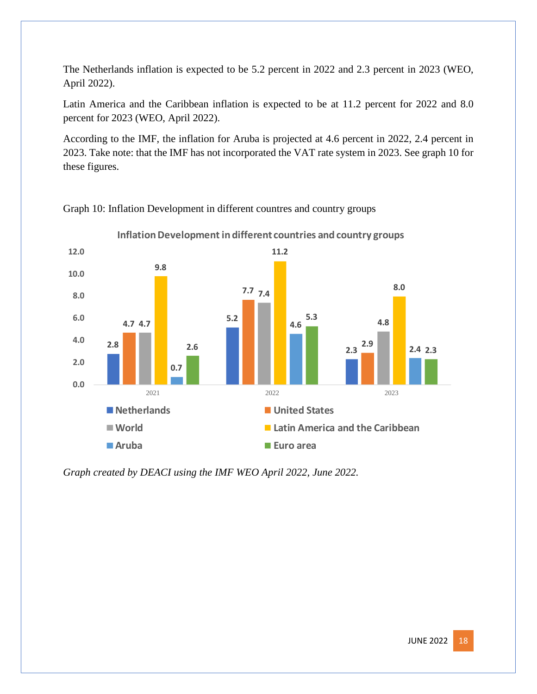The Netherlands inflation is expected to be 5.2 percent in 2022 and 2.3 percent in 2023 (WEO, April 2022).

Latin America and the Caribbean inflation is expected to be at 11.2 percent for 2022 and 8.0 percent for 2023 (WEO, April 2022).

According to the IMF, the inflation for Aruba is projected at 4.6 percent in 2022, 2.4 percent in 2023. Take note: that the IMF has not incorporated the VAT rate system in 2023. See graph 10 for these figures.



Graph 10: Inflation Development in different countres and country groups

*Graph created by DEACI using the IMF WEO April 2022, June 2022.*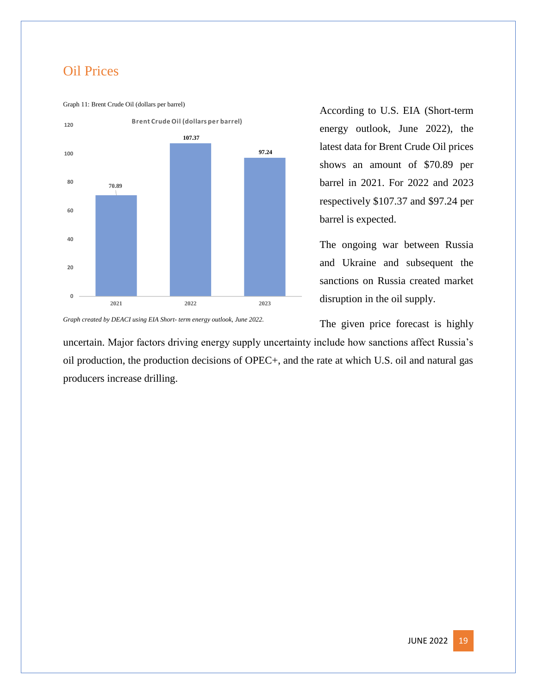### <span id="page-19-0"></span>Oil Prices

Graph 11: Brent Crude Oil (dollars per barrel)



According to U.S. EIA (Short-term energy outlook, June 2022), the latest data for Brent Crude Oil prices shows an amount of \$70.89 per barrel in 2021. For 2022 and 2023 respectively \$107.37 and \$97.24 per barrel is expected.

The ongoing war between Russia and Ukraine and subsequent the sanctions on Russia created market disruption in the oil supply.

The given price forecast is highly

*Graph created by DEACI using EIA Short- term energy outlook, June 2022.*

uncertain. Major factors driving energy supply uncertainty include how sanctions affect Russia's oil production, the production decisions of OPEC+, and the rate at which U.S. oil and natural gas producers increase drilling.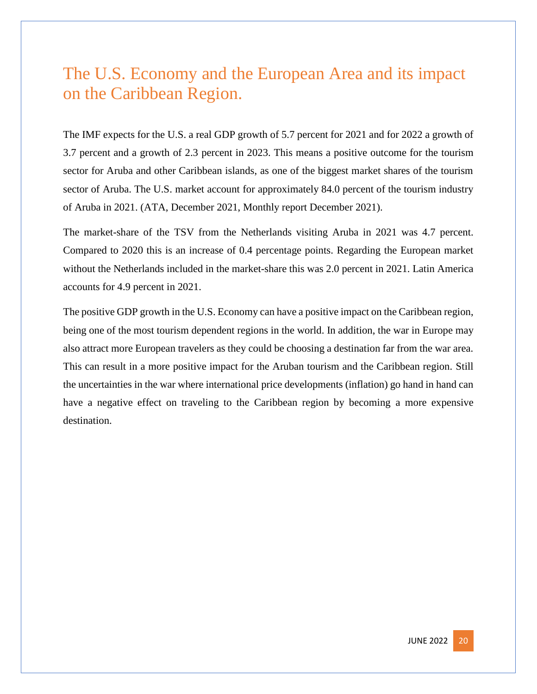# <span id="page-20-0"></span>The U.S. Economy and the European Area and its impact on the Caribbean Region.

The IMF expects for the U.S. a real GDP growth of 5.7 percent for 2021 and for 2022 a growth of 3.7 percent and a growth of 2.3 percent in 2023. This means a positive outcome for the tourism sector for Aruba and other Caribbean islands, as one of the biggest market shares of the tourism sector of Aruba. The U.S. market account for approximately 84.0 percent of the tourism industry of Aruba in 2021. (ATA, December 2021, Monthly report December 2021).

The market-share of the TSV from the Netherlands visiting Aruba in 2021 was 4.7 percent. Compared to 2020 this is an increase of 0.4 percentage points. Regarding the European market without the Netherlands included in the market-share this was 2.0 percent in 2021. Latin America accounts for 4.9 percent in 2021.

The positive GDP growth in the U.S. Economy can have a positive impact on the Caribbean region, being one of the most tourism dependent regions in the world. In addition, the war in Europe may also attract more European travelers as they could be choosing a destination far from the war area. This can result in a more positive impact for the Aruban tourism and the Caribbean region. Still the uncertainties in the war where international price developments (inflation) go hand in hand can have a negative effect on traveling to the Caribbean region by becoming a more expensive destination.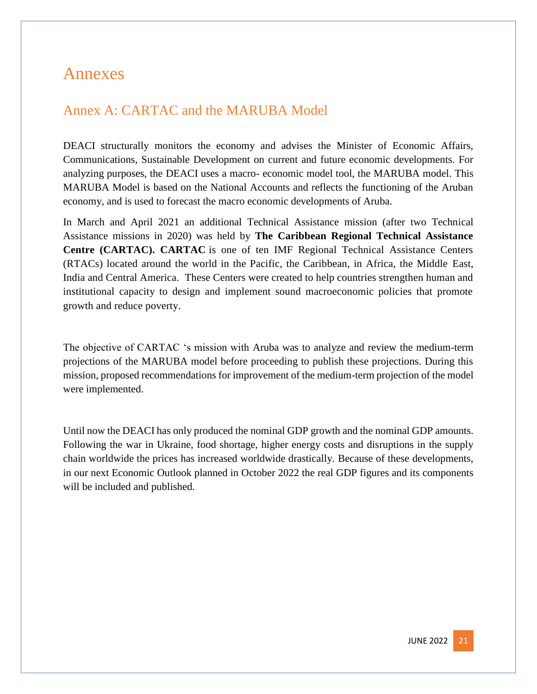### <span id="page-21-0"></span>Annexes

### <span id="page-21-1"></span>Annex A: CARTAC and the MARUBA Model

DEACI structurally monitors the economy and advises the Minister of Economic Affairs, Communications, Sustainable Development on current and future economic developments. For analyzing purposes, the DEACI uses a macro- economic model tool, the MARUBA model. This MARUBA Model is based on the National Accounts and reflects the functioning of the Aruban economy, and is used to forecast the macro economic developments of Aruba.

In March and April 2021 an additional Technical Assistance mission (after two Technical Assistance missions in 2020) was held by **The Caribbean Regional Technical Assistance Centre (CARTAC). CARTAC** is one of ten IMF Regional Technical Assistance Centers (RTACs) located around the world in the Pacific, the Caribbean, in Africa, the Middle East, India and Central America. These Centers were created to help countries strengthen human and institutional capacity to design and implement sound macroeconomic policies that promote growth and reduce poverty.

The objective of CARTAC 's mission with Aruba was to analyze and review the medium-term projections of the MARUBA model before proceeding to publish these projections. During this mission, proposed recommendations for improvement of the medium-term projection of the model were implemented.

Until now the DEACI has only produced the nominal GDP growth and the nominal GDP amounts. Following the war in Ukraine, food shortage, higher energy costs and disruptions in the supply chain worldwide the prices has increased worldwide drastically. Because of these developments, in our next Economic Outlook planned in October 2022 the real GDP figures and its components will be included and published.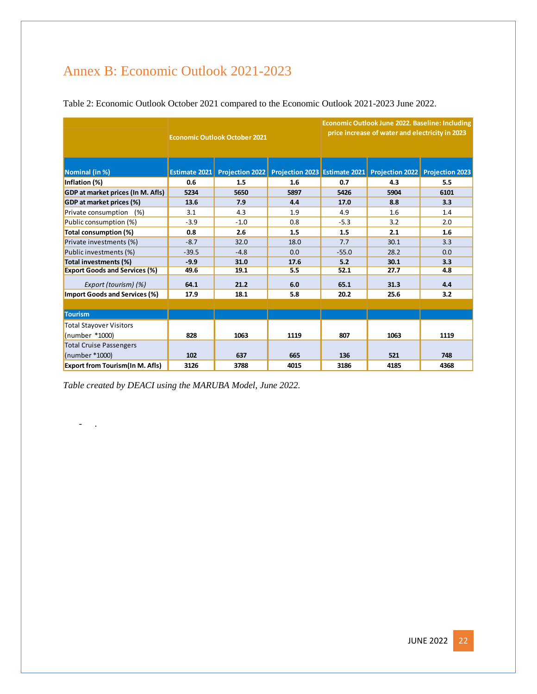# <span id="page-22-0"></span>Annex B: Economic Outlook 2021-2023

|                                        | <b>Economic Outlook October 2021</b> |                        |      | Economic Outlook June 2022. Baseline: Including<br>price increase of water and electricity in 2023 |                                                               |      |
|----------------------------------------|--------------------------------------|------------------------|------|----------------------------------------------------------------------------------------------------|---------------------------------------------------------------|------|
| Nominal (in %)                         | Estimate 2021                        | <b>Projection 2022</b> |      |                                                                                                    | Projection 2023 Estimate 2021 Projection 2022 Projection 2023 |      |
| Inflation (%)                          | 0.6                                  | 1.5                    | 1.6  | 0.7                                                                                                | 4.3                                                           | 5.5  |
| GDP at market prices (In M. Afls)      | 5234                                 | 5650                   | 5897 | 5426                                                                                               | 5904                                                          | 6101 |
| GDP at market prices (%)               | 13.6                                 | 7.9                    | 4.4  | 17.0                                                                                               | 8.8                                                           | 3.3  |
| Private consumption<br>(% )            | 3.1                                  | 4.3                    | 1.9  | 4.9                                                                                                | 1.6                                                           | 1.4  |
| Public consumption (%)                 | $-3.9$                               | $-1.0$                 | 0.8  | $-5.3$                                                                                             | 3.2                                                           | 2.0  |
| Total consumption (%)                  | 0.8                                  | 2.6                    | 1.5  | 1.5                                                                                                | 2.1                                                           | 1.6  |
| Private investments (%)                | $-8.7$                               | 32.0                   | 18.0 | 7.7                                                                                                | 30.1                                                          | 3.3  |
| Public investments (%)                 | $-39.5$                              | $-4.8$                 | 0.0  | $-55.0$                                                                                            | 28.2                                                          | 0.0  |
| Total investments (%)                  | $-9.9$                               | 31.0                   | 17.6 | 5.2                                                                                                | 30.1                                                          | 3.3  |
| <b>Export Goods and Services (%)</b>   | 49.6                                 | 19.1                   | 5.5  | 52.1                                                                                               | 27.7                                                          | 4.8  |
| Export (tourism) (%)                   | 64.1                                 | 21.2                   | 6.0  | 65.1                                                                                               | 31.3                                                          | 4.4  |
| Import Goods and Services (%)          | 17.9                                 | 18.1                   | 5.8  | 20.2                                                                                               | 25.6                                                          | 3.2  |
|                                        |                                      |                        |      |                                                                                                    |                                                               |      |
| <b>Tourism</b>                         |                                      |                        |      |                                                                                                    |                                                               |      |
| <b>Total Stayover Visitors</b>         |                                      |                        |      |                                                                                                    |                                                               |      |
| (number *1000)                         | 828                                  | 1063                   | 1119 | 807                                                                                                | 1063                                                          | 1119 |
| <b>Total Cruise Passengers</b>         |                                      |                        |      |                                                                                                    |                                                               |      |
| (number *1000)                         | 102                                  | 637                    | 665  | 136                                                                                                | 521                                                           | 748  |
| <b>Export from Tourism(In M. Afls)</b> | 3126                                 | 3788                   | 4015 | 3186                                                                                               | 4185                                                          | 4368 |

Table 2: Economic Outlook October 2021 compared to the Economic Outlook 2021-2023 June 2022.

*Table created by DEACI using the MARUBA Model, June 2022.*

- .